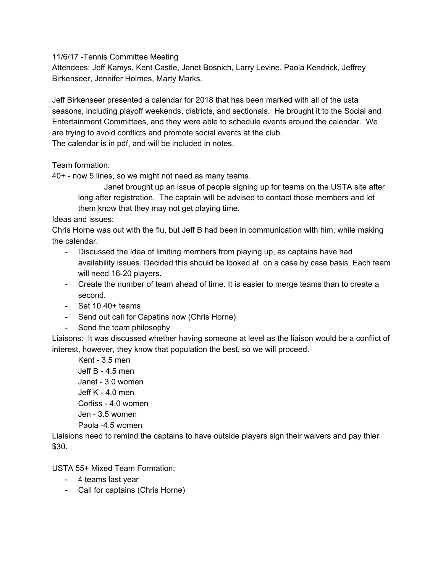11/6/17 -Tennis Committee Meeting

Attendees: Jeff Kamys, Kent Castle, Janet Bosnich, Larry Levine, Paola Kendrick, Jeffrey Birkenseer, Jennifer Holmes, Marty Marks.

Jeff Birkenseer presented a calendar for 2018 that has been marked with all of the usta seasons, including playoff weekends, districts, and sectionals. He brought it to the Social and Entertainment Committees, and they were able to schedule events around the calendar. We are trying to avoid conflicts and promote social events at the club. The calendar is in pdf, and will be included in notes.

Team formation:

40+ - now 5 lines, so we might not need as many teams.

Janet brought up an issue of people signing up for teams on the USTA site after long after registration. The captain will be advised to contact those members and let them know that they may not get playing time.

Ideas and issues:

Chris Horne was out with the flu, but Jeff B had been in communication with him, while making the calendar.

- Discussed the idea of limiting members from playing up, as captains have had availability issues. Decided this should be looked at on a case by case basis. Each team will need 16-20 players.
- Create the number of team ahead of time. It is easier to merge teams than to create a second.
- $-$  Set 10 40+ teams
- Send out call for Capatins now (Chris Horne)
- Send the team philosophy

Liaisons: It was discussed whether having someone at level as the liaison would be a conflict of interest, however, they know that population the best, so we will proceed.

Kent - 3.5 men Jeff B - 4.5 men Janet - 3.0 women Jeff K - 4.0 men Corliss - 4.0 women Jen - 3.5 women Paola -4.5 women

Liaisions need to remind the captains to have outside players sign their waivers and pay thier \$30.

USTA 55+ Mixed Team Formation:

- 4 teams last year
- Call for captains (Chris Horne)